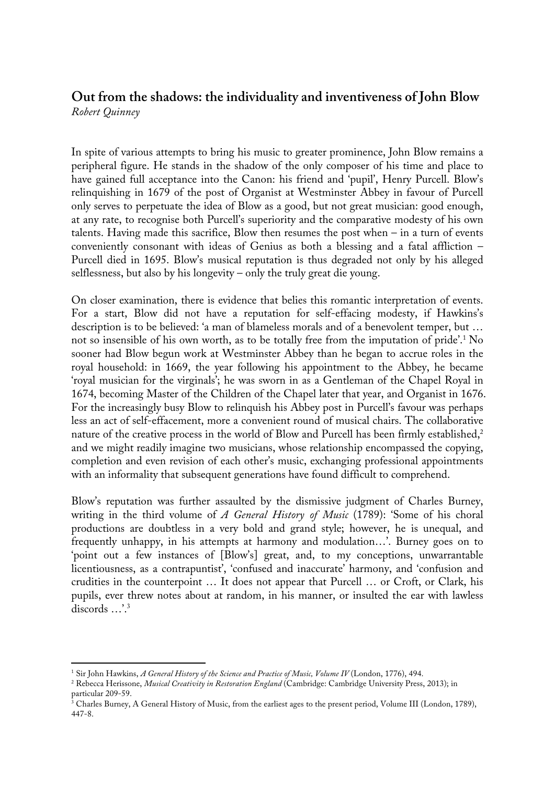## **Out from the shadows: the individuality and inventiveness of John Blow** *Robert Quinney*

In spite of various attempts to bring his music to greater prominence, John Blow remains a peripheral figure. He stands in the shadow of the only composer of his time and place to have gained full acceptance into the Canon: his friend and 'pupil', Henry Purcell. Blow's relinquishing in 1679 of the post of Organist at Westminster Abbey in favour of Purcell only serves to perpetuate the idea of Blow as a good, but not great musician: good enough, at any rate, to recognise both Purcell's superiority and the comparative modesty of his own talents. Having made this sacrifice, Blow then resumes the post when – in a turn of events conveniently consonant with ideas of Genius as both a blessing and a fatal affliction – Purcell died in 1695. Blow's musical reputation is thus degraded not only by his alleged selflessness, but also by his longevity – only the truly great die young.

On closer examination, there is evidence that belies this romantic interpretation of events. For a start, Blow did not have a reputation for self-effacing modesty, if Hawkins's description is to be believed: 'a man of blameless morals and of a benevolent temper, but … not so insensible of his own worth, as to be totally free from the imputation of pride'. <sup>1</sup> No sooner had Blow begun work at Westminster Abbey than he began to accrue roles in the royal household: in 1669, the year following his appointment to the Abbey, he became 'royal musician for the virginals'; he was sworn in as a Gentleman of the Chapel Royal in 1674, becoming Master of the Children of the Chapel later that year, and Organist in 1676. For the increasingly busy Blow to relinquish his Abbey post in Purcell's favour was perhaps less an act of self-effacement, more a convenient round of musical chairs. The collaborative nature of the creative process in the world of Blow and Purcell has been firmly established,<sup>2</sup> and we might readily imagine two musicians, whose relationship encompassed the copying, completion and even revision of each other's music, exchanging professional appointments with an informality that subsequent generations have found difficult to comprehend.

Blow's reputation was further assaulted by the dismissive judgment of Charles Burney, writing in the third volume of *A General History of Music* (1789): 'Some of his choral productions are doubtless in a very bold and grand style; however, he is unequal, and frequently unhappy, in his attempts at harmony and modulation…'. Burney goes on to 'point out a few instances of [Blow's] great, and, to my conceptions, unwarrantable licentiousness, as a contrapuntist', 'confused and inaccurate' harmony, and 'confusion and crudities in the counterpoint … It does not appear that Purcell … or Croft, or Clark, his pupils, ever threw notes about at random, in his manner, or insulted the ear with lawless discords …'. 3

 $\overline{1}$ <sup>1</sup> Sir John Hawkins, *A General History of the Science and Practice of Music, Volume IV* (London, 1776), 494.

<sup>2</sup> Rebecca Herissone, *Musical Creativity in Restoration England* (Cambridge: Cambridge University Press, 2013); in particular 209-59.

<sup>3</sup> Charles Burney, A General History of Music, from the earliest ages to the present period, Volume III (London, 1789), 447-8.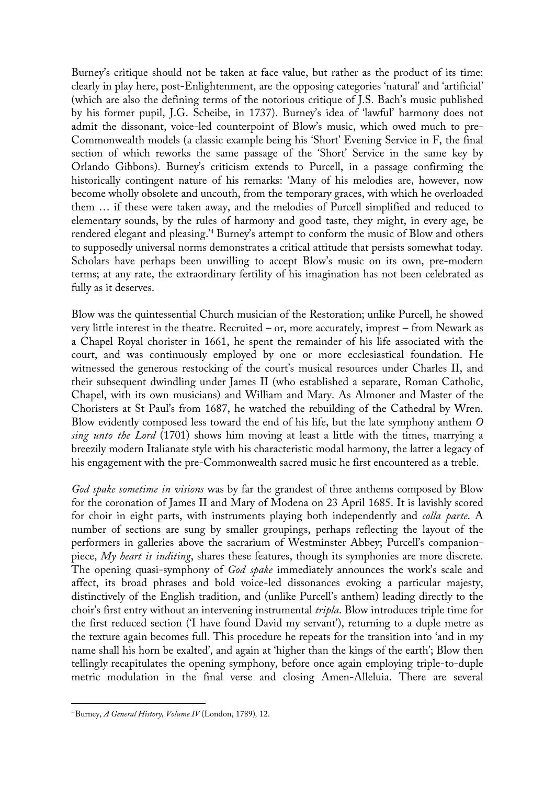Burney's critique should not be taken at face value, but rather as the product of its time: clearly in play here, post-Enlightenment, are the opposing categories 'natural' and 'artificial' (which are also the defining terms of the notorious critique of J.S. Bach's music published by his former pupil, J.G. Scheibe, in 1737). Burney's idea of 'lawful' harmony does not admit the dissonant, voice-led counterpoint of Blow's music, which owed much to pre-Commonwealth models (a classic example being his 'Short' Evening Service in F, the final section of which reworks the same passage of the 'Short' Service in the same key by Orlando Gibbons). Burney's criticism extends to Purcell, in a passage confirming the historically contingent nature of his remarks: 'Many of his melodies are, however, now become wholly obsolete and uncouth, from the temporary graces, with which he overloaded them … if these were taken away, and the melodies of Purcell simplified and reduced to elementary sounds, by the rules of harmony and good taste, they might, in every age, be rendered elegant and pleasing.' <sup>4</sup> Burney's attempt to conform the music of Blow and others to supposedly universal norms demonstrates a critical attitude that persists somewhat today. Scholars have perhaps been unwilling to accept Blow's music on its own, pre-modern terms; at any rate, the extraordinary fertility of his imagination has not been celebrated as fully as it deserves.

Blow was the quintessential Church musician of the Restoration; unlike Purcell, he showed very little interest in the theatre. Recruited – or, more accurately, imprest – from Newark as a Chapel Royal chorister in 1661, he spent the remainder of his life associated with the court, and was continuously employed by one or more ecclesiastical foundation. He witnessed the generous restocking of the court's musical resources under Charles II, and their subsequent dwindling under James II (who established a separate, Roman Catholic, Chapel, with its own musicians) and William and Mary. As Almoner and Master of the Choristers at St Paul's from 1687, he watched the rebuilding of the Cathedral by Wren. Blow evidently composed less toward the end of his life, but the late symphony anthem *O sing unto the Lord* (1701) shows him moving at least a little with the times, marrying a breezily modern Italianate style with his characteristic modal harmony, the latter a legacy of his engagement with the pre-Commonwealth sacred music he first encountered as a treble.

*God spake sometime in visions* was by far the grandest of three anthems composed by Blow for the coronation of James II and Mary of Modena on 23 April 1685. It is lavishly scored for choir in eight parts, with instruments playing both independently and *colla parte*. A number of sections are sung by smaller groupings, perhaps reflecting the layout of the performers in galleries above the sacrarium of Westminster Abbey; Purcell's companionpiece, *My heart is inditing*, shares these features, though its symphonies are more discrete. The opening quasi-symphony of *God spake* immediately announces the work's scale and affect, its broad phrases and bold voice-led dissonances evoking a particular majesty, distinctively of the English tradition, and (unlike Purcell's anthem) leading directly to the choir's first entry without an intervening instrumental *tripla*. Blow introduces triple time for the first reduced section ('I have found David my servant'), returning to a duple metre as the texture again becomes full. This procedure he repeats for the transition into 'and in my name shall his horn be exalted', and again at 'higher than the kings of the earth'; Blow then tellingly recapitulates the opening symphony, before once again employing triple-to-duple metric modulation in the final verse and closing Amen-Alleluia. There are several

 <sup>4</sup> Burney, *A General History, Volume IV* (London, 1789)*,* 12.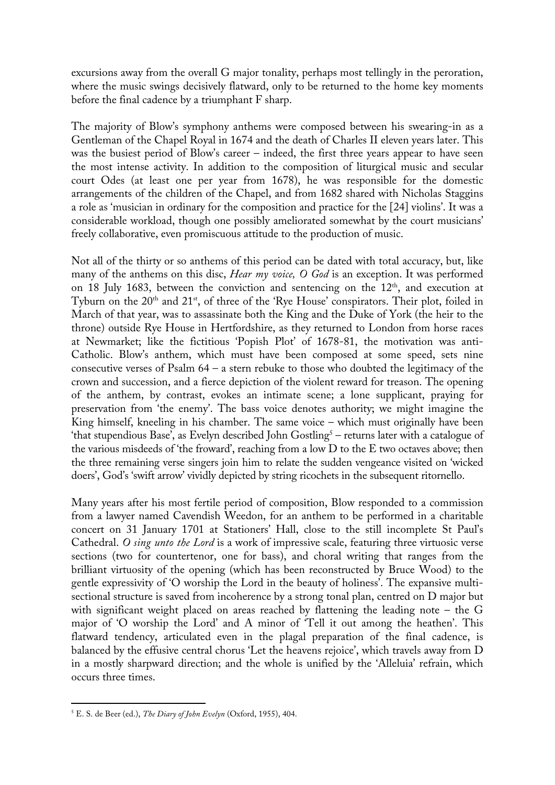excursions away from the overall G major tonality, perhaps most tellingly in the peroration, where the music swings decisively flatward, only to be returned to the home key moments before the final cadence by a triumphant F sharp.

The majority of Blow's symphony anthems were composed between his swearing-in as a Gentleman of the Chapel Royal in 1674 and the death of Charles II eleven years later. This was the busiest period of Blow's career – indeed, the first three years appear to have seen the most intense activity. In addition to the composition of liturgical music and secular court Odes (at least one per year from 1678), he was responsible for the domestic arrangements of the children of the Chapel, and from 1682 shared with Nicholas Staggins a role as 'musician in ordinary for the composition and practice for the [24] violins'. It was a considerable workload, though one possibly ameliorated somewhat by the court musicians' freely collaborative, even promiscuous attitude to the production of music.

Not all of the thirty or so anthems of this period can be dated with total accuracy, but, like many of the anthems on this disc, *Hear my voice, O God* is an exception. It was performed on 18 July 1683, between the conviction and sentencing on the  $12<sup>th</sup>$ , and execution at Tyburn on the 20<sup>th</sup> and 21<sup>st</sup>, of three of the 'Rye House' conspirators. Their plot, foiled in March of that year, was to assassinate both the King and the Duke of York (the heir to the throne) outside Rye House in Hertfordshire, as they returned to London from horse races at Newmarket; like the fictitious 'Popish Plot' of 1678-81, the motivation was anti-Catholic. Blow's anthem, which must have been composed at some speed, sets nine consecutive verses of Psalm  $64 - a$  stern rebuke to those who doubted the legitimacy of the crown and succession, and a fierce depiction of the violent reward for treason. The opening of the anthem, by contrast, evokes an intimate scene; a lone supplicant, praying for preservation from 'the enemy'. The bass voice denotes authority; we might imagine the King himself, kneeling in his chamber. The same voice – which must originally have been 'that stupendious Base', as Evelyn described John Gostling<sup>5</sup> – returns later with a catalogue of the various misdeeds of 'the froward', reaching from a low D to the E two octaves above; then the three remaining verse singers join him to relate the sudden vengeance visited on 'wicked doers', God's 'swift arrow' vividly depicted by string ricochets in the subsequent ritornello.

Many years after his most fertile period of composition, Blow responded to a commission from a lawyer named Cavendish Weedon, for an anthem to be performed in a charitable concert on 31 January 1701 at Stationers' Hall, close to the still incomplete St Paul's Cathedral. *O sing unto the Lord* is a work of impressive scale, featuring three virtuosic verse sections (two for countertenor, one for bass), and choral writing that ranges from the brilliant virtuosity of the opening (which has been reconstructed by Bruce Wood) to the gentle expressivity of 'O worship the Lord in the beauty of holiness'. The expansive multisectional structure is saved from incoherence by a strong tonal plan, centred on D major but with significant weight placed on areas reached by flattening the leading note – the G major of 'O worship the Lord' and A minor of 'Tell it out among the heathen'. This flatward tendency, articulated even in the plagal preparation of the final cadence, is balanced by the effusive central chorus 'Let the heavens rejoice', which travels away from D in a mostly sharpward direction; and the whole is unified by the 'Alleluia' refrain, which occurs three times.

 <sup>5</sup> E. S. de Beer (ed.), *The Diary of John Evelyn* (Oxford, 1955), 404.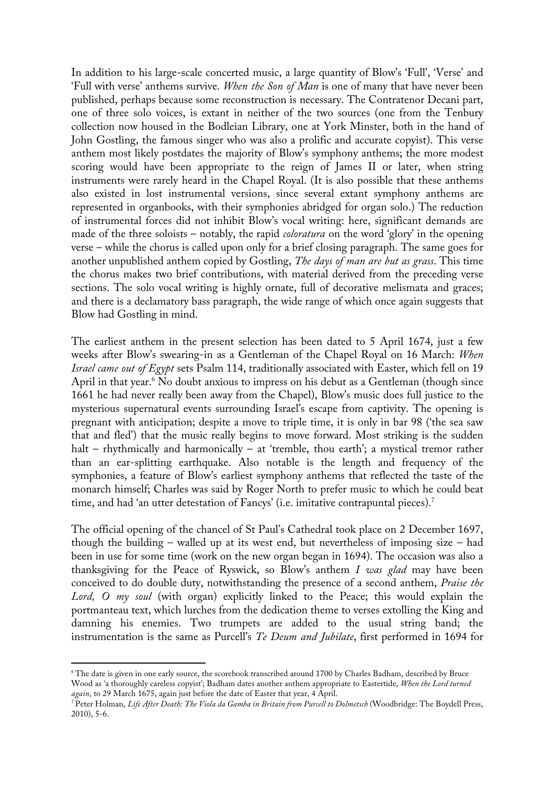In addition to his large-scale concerted music, a large quantity of Blow's 'Full', 'Verse' and 'Full with verse' anthems survive. *When the Son of Man* is one of many that have never been published, perhaps because some reconstruction is necessary. The Contratenor Decani part, one of three solo voices, is extant in neither of the two sources (one from the Tenbury collection now housed in the Bodleian Library, one at York Minster, both in the hand of John Gostling, the famous singer who was also a prolific and accurate copyist). This verse anthem most likely postdates the majority of Blow's symphony anthems; the more modest scoring would have been appropriate to the reign of James II or later, when string instruments were rarely heard in the Chapel Royal. (It is also possible that these anthems also existed in lost instrumental versions, since several extant symphony anthems are represented in organbooks, with their symphonies abridged for organ solo.) The reduction of instrumental forces did not inhibit Blow's vocal writing: here, significant demands are made of the three soloists – notably, the rapid *coloratura* on the word 'glory' in the opening verse – while the chorus is called upon only for a brief closing paragraph. The same goes for another unpublished anthem copied by Gostling, *The days of man are but as grass*. This time the chorus makes two brief contributions, with material derived from the preceding verse sections. The solo vocal writing is highly ornate, full of decorative melismata and graces; and there is a declamatory bass paragraph, the wide range of which once again suggests that Blow had Gostling in mind.

The earliest anthem in the present selection has been dated to 5 April 1674, just a few weeks after Blow's swearing-in as a Gentleman of the Chapel Royal on 16 March: *When Israel came out of Egypt* sets Psalm 114, traditionally associated with Easter, which fell on 19 April in that year.<sup>6</sup> No doubt anxious to impress on his debut as a Gentleman (though since 1661 he had never really been away from the Chapel), Blow's music does full justice to the mysterious supernatural events surrounding Israel's escape from captivity. The opening is pregnant with anticipation; despite a move to triple time, it is only in bar 98 ('the sea saw that and fled') that the music really begins to move forward. Most striking is the sudden halt – rhythmically and harmonically – at 'tremble, thou earth'; a mystical tremor rather than an ear-splitting earthquake. Also notable is the length and frequency of the symphonies, a feature of Blow's earliest symphony anthems that reflected the taste of the monarch himself; Charles was said by Roger North to prefer music to which he could beat time, and had 'an utter detestation of Fancys' (i.e. imitative contrapuntal pieces).<sup>7</sup>

The official opening of the chancel of St Paul's Cathedral took place on 2 December 1697, though the building – walled up at its west end, but nevertheless of imposing size – had been in use for some time (work on the new organ began in 1694). The occasion was also a thanksgiving for the Peace of Ryswick, so Blow's anthem *I was glad* may have been conceived to do double duty, notwithstanding the presence of a second anthem, *Praise the Lord, O my soul* (with organ) explicitly linked to the Peace; this would explain the portmanteau text, which lurches from the dedication theme to verses extolling the King and damning his enemies. Two trumpets are added to the usual string band; the instrumentation is the same as Purcell's *Te Deum and Jubilate*, first performed in 1694 for

 <sup>6</sup> The date is given in one early source, the scorebook transcribed around 1700 by Charles Badham, described by Bruce Wood as 'a thoroughly careless copyist'; Badham dates another anthem appropriate to Eastertide, *When the Lord turned again*, to 29 March 1675, again just before the date of Easter that year, 4 April.

<sup>&</sup>lt;sup>7</sup> Peter Holman, *Life After Death: The Viola da Gamba in Britain from Purcell to Dolmetsch* (Woodbridge: The Boydell Press, 2010), 5-6.